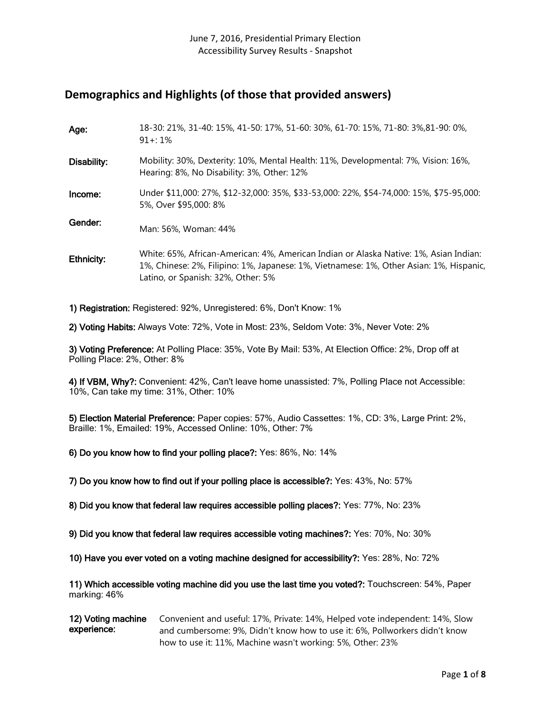# **Demographics and Highlights (of those that provided answers)**

| Age:        | 18-30: 21%, 31-40: 15%, 41-50: 17%, 51-60: 30%, 61-70: 15%, 71-80: 3%, 81-90: 0%,<br>$91 + 1\%$                                                                                                                        |
|-------------|------------------------------------------------------------------------------------------------------------------------------------------------------------------------------------------------------------------------|
| Disability: | Mobility: 30%, Dexterity: 10%, Mental Health: 11%, Developmental: 7%, Vision: 16%,<br>Hearing: 8%, No Disability: 3%, Other: 12%                                                                                       |
| Income:     | Under \$11,000: 27%, \$12-32,000: 35%, \$33-53,000: 22%, \$54-74,000: 15%, \$75-95,000:<br>5%, Over \$95,000: 8%                                                                                                       |
| Gender:     | Man: 56%, Woman: 44%                                                                                                                                                                                                   |
| Ethnicity:  | White: 65%, African-American: 4%, American Indian or Alaska Native: 1%, Asian Indian:<br>1%, Chinese: 2%, Filipino: 1%, Japanese: 1%, Vietnamese: 1%, Other Asian: 1%, Hispanic,<br>Latino, or Spanish: 32%, Other: 5% |

1) Registration: Registered: 92%, Unregistered: 6%, Don't Know: 1%

2) Voting Habits: Always Vote: 72%, Vote in Most: 23%, Seldom Vote: 3%, Never Vote: 2%

3) Voting Preference: At Polling Place: 35%, Vote By Mail: 53%, At Election Office: 2%, Drop off at Polling Place: 2%, Other: 8%

4) If VBM, Why?: Convenient: 42%, Can't leave home unassisted: 7%, Polling Place not Accessible: 10%, Can take my time: 31%, Other: 10%

5) Election Material Preference: Paper copies: 57%, Audio Cassettes: 1%, CD: 3%, Large Print: 2%, Braille: 1%, Emailed: 19%, Accessed Online: 10%, Other: 7%

6) Do you know how to find your polling place?: Yes: 86%, No: 14%

7) Do you know how to find out if your polling place is accessible?: Yes: 43%, No: 57%

8) Did you know that federal law requires accessible polling places?: Yes: 77%, No: 23%

9) Did you know that federal law requires accessible voting machines?: Yes: 70%, No: 30%

10) Have you ever voted on a voting machine designed for accessibility?: Yes: 28%, No: 72%

11) Which accessible voting machine did you use the last time you voted?: Touchscreen: 54%, Paper marking: 46%

12) Voting machine experience: Convenient and useful: 17%, Private: 14%, Helped vote independent: 14%, Slow and cumbersome: 9%, Didn't know how to use it: 6%, Pollworkers didn't know how to use it: 11%, Machine wasn't working: 5%, Other: 23%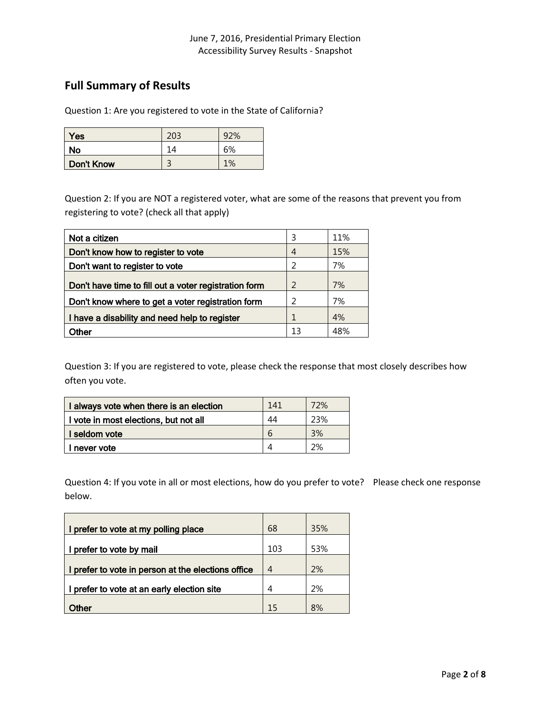# **Full Summary of Results**

Question 1: Are you registered to vote in the State of California?

| Yes               | 203 | 92% |
|-------------------|-----|-----|
| No                | 14  | 6%  |
| <b>Don't Know</b> | ┑   | 1%  |

Question 2: If you are NOT a registered voter, what are some of the reasons that prevent you from registering to vote? (check all that apply)

| Not a citizen                                         | ξ             | 11% |
|-------------------------------------------------------|---------------|-----|
| Don't know how to register to vote                    | 4             | 15% |
| Don't want to register to vote                        | $\mathcal{P}$ | 7%  |
| Don't have time to fill out a voter registration form | $\mathcal{P}$ | 7%  |
| Don't know where to get a voter registration form     | 2             | 7%  |
| I have a disability and need help to register         |               | 4%  |
| <b>Other</b>                                          | 13            | 48% |

Question 3: If you are registered to vote, please check the response that most closely describes how often you vote.

| I always vote when there is an election | 141 | 72% |
|-----------------------------------------|-----|-----|
| I vote in most elections, but not all   | 44  | 23% |
| I seldom vote                           | h   | 3%  |
| I never vote                            |     | 2%  |

Question 4: If you vote in all or most elections, how do you prefer to vote? Please check one response below.

| I prefer to vote at my polling place               | 68  | 35% |
|----------------------------------------------------|-----|-----|
| prefer to vote by mail                             | 103 | 53% |
| I prefer to vote in person at the elections office | 4   | 2%  |
| prefer to vote at an early election site           | 4   | 2%  |
| <i>i</i> ther                                      | 15  | 8%  |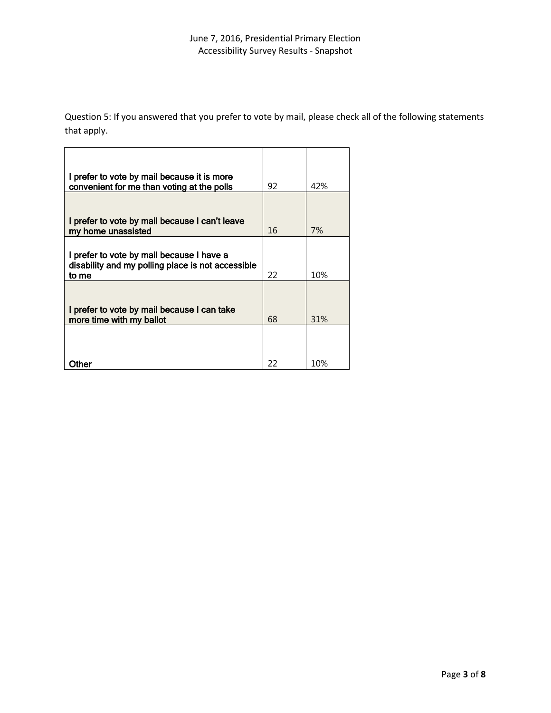Question 5: If you answered that you prefer to vote by mail, please check all of the following statements that apply.

| I prefer to vote by mail because it is more<br>convenient for me than voting at the polls      | 92 | 42% |
|------------------------------------------------------------------------------------------------|----|-----|
|                                                                                                |    |     |
| I prefer to vote by mail because I can't leave<br>my home unassisted                           | 16 | 7%  |
|                                                                                                |    |     |
| I prefer to vote by mail because I have a<br>disability and my polling place is not accessible |    |     |
| to me                                                                                          | 22 | 10% |
|                                                                                                |    |     |
| I prefer to vote by mail because I can take<br>more time with my ballot                        | 68 | 31% |
|                                                                                                |    |     |
|                                                                                                |    |     |
| ther                                                                                           | 22 | 10% |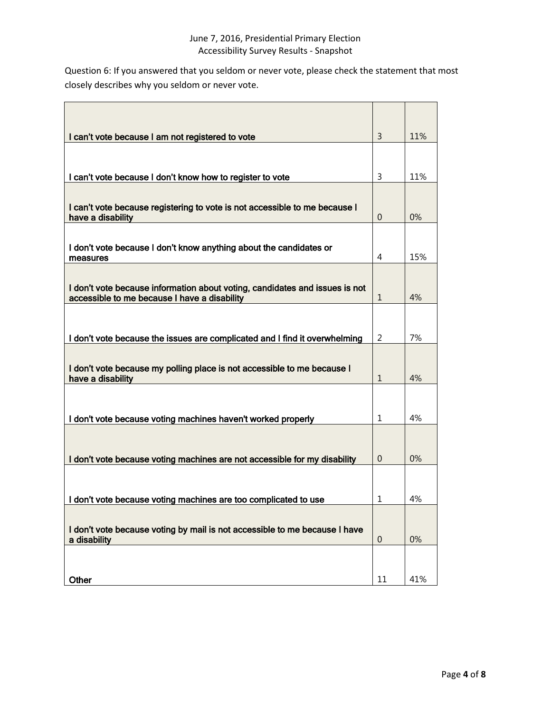Question 6: If you answered that you seldom or never vote, please check the statement that most closely describes why you seldom or never vote.

| I can't vote because I am not registered to vote                                                                            | 3              | 11% |
|-----------------------------------------------------------------------------------------------------------------------------|----------------|-----|
|                                                                                                                             |                |     |
| I can't vote because I don't know how to register to vote                                                                   | 3              | 11% |
|                                                                                                                             |                |     |
| I can't vote because registering to vote is not accessible to me because I<br>have a disability                             | 0              | 0%  |
|                                                                                                                             |                |     |
| I don't vote because I don't know anything about the candidates or<br>measures                                              | 4              | 15% |
|                                                                                                                             |                |     |
| I don't vote because information about voting, candidates and issues is not<br>accessible to me because I have a disability | 1              | 4%  |
|                                                                                                                             |                |     |
| I don't vote because the issues are complicated and I find it overwhelming                                                  | $\overline{2}$ | 7%  |
|                                                                                                                             |                |     |
| I don't vote because my polling place is not accessible to me because I<br>have a disability                                | $\mathbf{1}$   | 4%  |
|                                                                                                                             |                |     |
| I don't vote because voting machines haven't worked properly                                                                | 1              | 4%  |
|                                                                                                                             |                |     |
|                                                                                                                             |                |     |
| I don't vote because voting machines are not accessible for my disability                                                   | $\theta$       | 0%  |
|                                                                                                                             |                |     |
| I don't vote because voting machines are too complicated to use                                                             | 1              | 4%  |
|                                                                                                                             |                |     |
| I don't vote because voting by mail is not accessible to me because I have<br>a disability                                  | 0              | 0%  |
|                                                                                                                             |                |     |
| Other                                                                                                                       | 11             | 41% |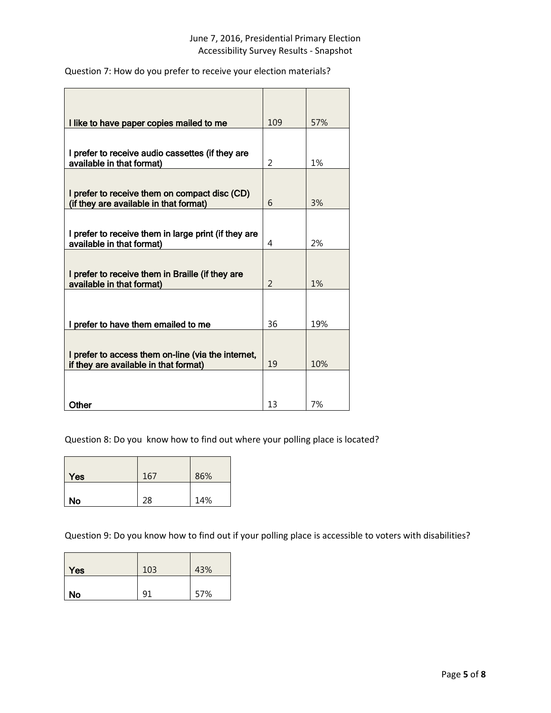Question 7: How do you prefer to receive your election materials?

| I like to have paper copies mailed to me                                                    | 109                      | 57% |
|---------------------------------------------------------------------------------------------|--------------------------|-----|
|                                                                                             |                          |     |
| I prefer to receive audio cassettes (if they are<br>available in that format)               | $\mathcal{P}$            | 1%  |
| I prefer to receive them on compact disc (CD)<br>(if they are available in that format)     | 6                        | 3%  |
| I prefer to receive them in large print (if they are<br>available in that format)           | 4                        | 2%  |
| I prefer to receive them in Braille (if they are<br>available in that format)               | $\overline{\phantom{0}}$ | 1%  |
| I prefer to have them emailed to me                                                         | 36                       | 19% |
| I prefer to access them on-line (via the internet,<br>if they are available in that format) | 19                       | 10% |
| Other                                                                                       | 13                       | 7%  |

Question 8: Do you know how to find out where your polling place is located?

L,

| Yes | 167 | 86% |
|-----|-----|-----|
| No  | 28  | 14% |

Question 9: Do you know how to find out if your polling place is accessible to voters with disabilities?

| <b>Yes</b> | 103 | 43% |
|------------|-----|-----|
| No         | ∩°  | 57% |

<u> 1980 - Jan Barnett, mars et al. (</u>

 $\overline{ }$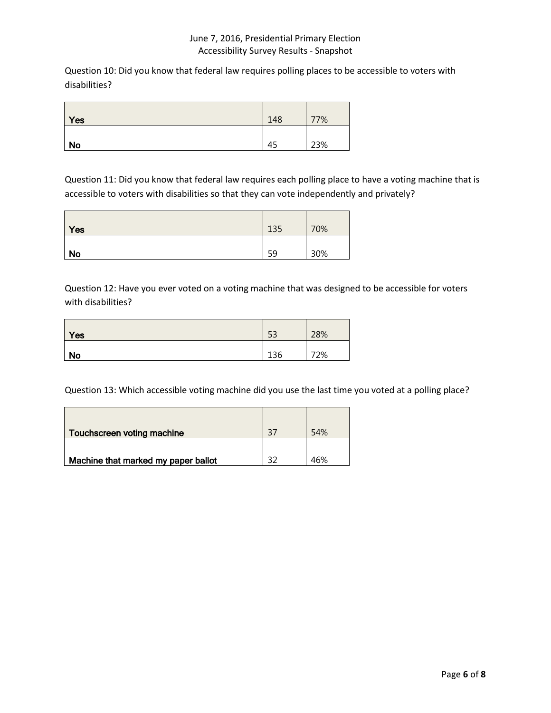Question 10: Did you know that federal law requires polling places to be accessible to voters with disabilities?

| Yes       | 148 | 77% |
|-----------|-----|-----|
| <b>No</b> | 45  | 23% |

Question 11: Did you know that federal law requires each polling place to have a voting machine that is accessible to voters with disabilities so that they can vote independently and privately?

| Yes       | 135 | 70% |
|-----------|-----|-----|
| <b>No</b> | 59  | 30% |

Question 12: Have you ever voted on a voting machine that was designed to be accessible for voters with disabilities?

| Yes       | 53  | 28% |
|-----------|-----|-----|
| <b>No</b> | 136 | 72% |

Question 13: Which accessible voting machine did you use the last time you voted at a polling place?

| Touchscreen voting machine          | 37 | 54% |
|-------------------------------------|----|-----|
|                                     |    |     |
| Machine that marked my paper ballot |    | 46% |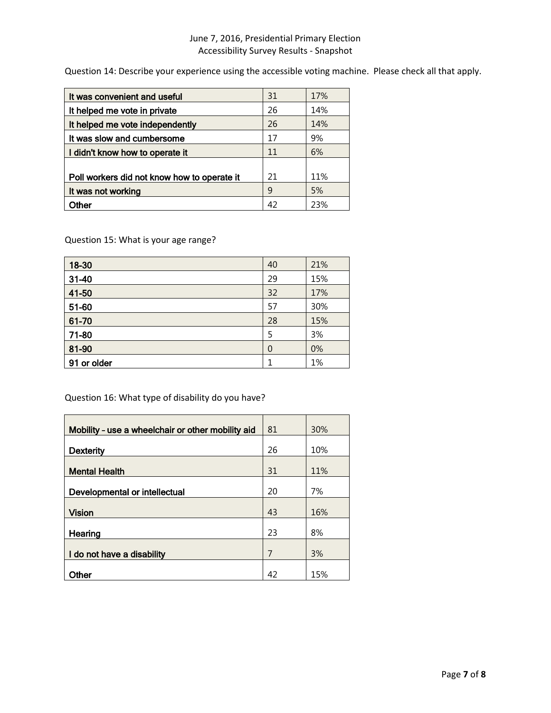Question 14: Describe your experience using the accessible voting machine. Please check all that apply.

| It was convenient and useful                | 31 | 17% |
|---------------------------------------------|----|-----|
| It helped me vote in private                | 26 | 14% |
| It helped me vote independently             | 26 | 14% |
| It was slow and cumbersome                  | 17 | 9%  |
| I didn't know how to operate it             | 11 | 6%  |
|                                             |    |     |
| Poll workers did not know how to operate it | 21 | 11% |
| It was not working                          | 9  | 5%  |
| Other                                       | 42 | 23% |

Question 15: What is your age range?

| 18-30       | 40 | 21% |
|-------------|----|-----|
| $31 - 40$   | 29 | 15% |
| 41-50       | 32 | 17% |
| 51-60       | 57 | 30% |
| 61-70       | 28 | 15% |
| 71-80       | 5  | 3%  |
| 81-90       | 0  | 0%  |
| 91 or older |    | 1%  |

Question 16: What type of disability do you have?

| Mobility - use a wheelchair or other mobility aid | 81 | 30% |
|---------------------------------------------------|----|-----|
| <b>Dexterity</b>                                  | 26 | 10% |
| <b>Mental Health</b>                              | 31 | 11% |
| Developmental or intellectual                     | 20 | 7%  |
| <b>Vision</b>                                     | 43 | 16% |
| Hearing                                           | 23 | 8%  |
| I do not have a disability                        | 7  | 3%  |
| Other                                             | 42 | 15% |